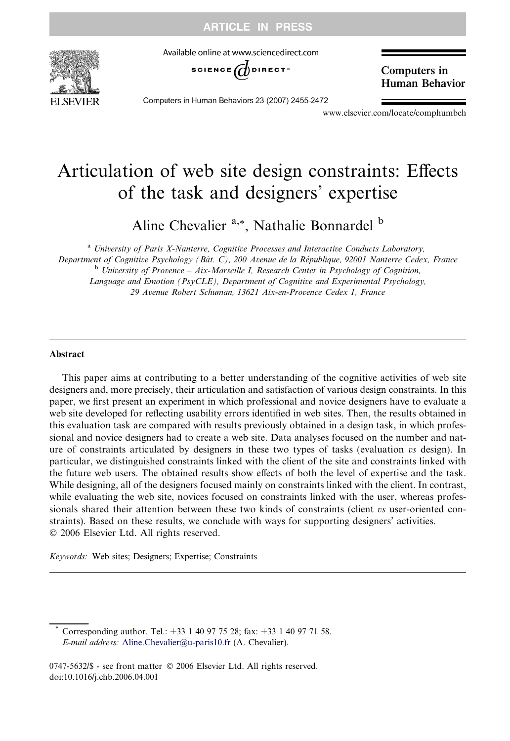Available online at www.sciencedirect.com



SCIENCE  $\bigcap$  DIRECT<sup>\*</sup>

Computers in Human Behaviors 23 (2007) 2455-2472

Computers in Human Behavior

www.elsevier.com/locate/comphumbeh

# Articulation of web site design constraints: Effects of the task and designers' expertise

Aline Chevalier <sup>a,\*</sup>, Nathalie Bonnardel <sup>b</sup>

<sup>a</sup> University of Paris X-Nanterre, Cognitive Processes and Interactive Conducts Laboratory, Department of Cognitive Psychology (Bât. C), 200 Avenue de la République, 92001 Nanterre Cedex, France  $b$  University of Provence – Aix-Marseille I, Research Center in Psychology of Cognition, Language and Emotion (PsyCLE), Department of Cognitive and Experimental Psychology, 29 Avenue Robert Schuman, 13621 Aix-en-Provence Cedex 1, France

#### Abstract

This paper aims at contributing to a better understanding of the cognitive activities of web site designers and, more precisely, their articulation and satisfaction of various design constraints. In this paper, we first present an experiment in which professional and novice designers have to evaluate a web site developed for reflecting usability errors identified in web sites. Then, the results obtained in this evaluation task are compared with results previously obtained in a design task, in which professional and novice designers had to create a web site. Data analyses focused on the number and nature of constraints articulated by designers in these two types of tasks (evaluation  $vs$  design). In particular, we distinguished constraints linked with the client of the site and constraints linked with the future web users. The obtained results show effects of both the level of expertise and the task. While designing, all of the designers focused mainly on constraints linked with the client. In contrast, while evaluating the web site, novices focused on constraints linked with the user, whereas professionals shared their attention between these two kinds of constraints (client vs user-oriented constraints). Based on these results, we conclude with ways for supporting designers' activities. © 2006 Elsevier Ltd. All rights reserved.

Keywords: Web sites; Designers; Expertise; Constraints

Corresponding author. Tel.: +33 1 40 97 75 28; fax: +33 1 40 97 71 58. E-mail address: [Aline.Chevalier@u-paris10.fr](mailto:Aline.Chevalier@u-paris10.fr) (A. Chevalier).

<sup>0747-5632/\$ -</sup> see front matter © 2006 Elsevier Ltd. All rights reserved. doi:10.1016/j.chb.2006.04.001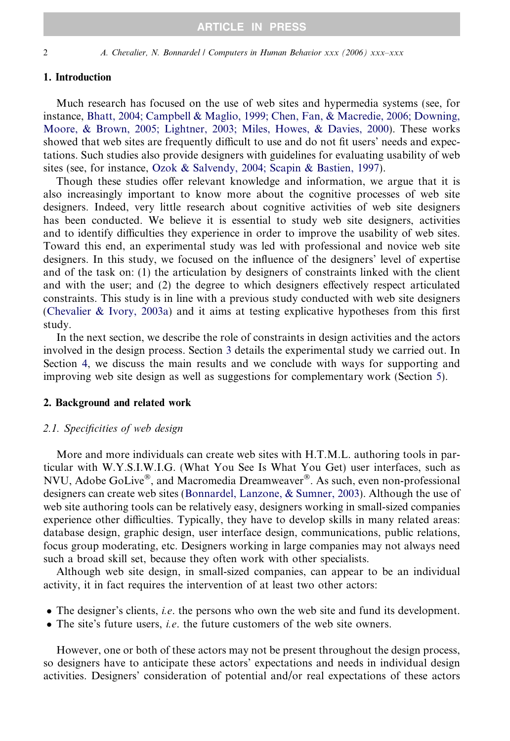## <span id="page-1-0"></span>1. Introduction

Much research has focused on the use of web sites and hypermedia systems (see, for instance, [Bhatt, 2004; Campbell & Maglio, 1999; Chen, Fan, & Macredie, 2006; Downing,](#page-15-0) [Moore, & Brown, 2005; Lightner, 2003; Miles, Howes, & Davies, 2000\)](#page-15-0). These works showed that web sites are frequently difficult to use and do not fit users' needs and expectations. Such studies also provide designers with guidelines for evaluating usability of web sites (see, for instance, [Ozok & Salvendy, 2004; Scapin & Bastien, 1997](#page-17-0)).

Though these studies offer relevant knowledge and information, we argue that it is also increasingly important to know more about the cognitive processes of web site designers. Indeed, very little research about cognitive activities of web site designers has been conducted. We believe it is essential to study web site designers, activities and to identify difficulties they experience in order to improve the usability of web sites. Toward this end, an experimental study was led with professional and novice web site designers. In this study, we focused on the influence of the designers' level of expertise and of the task on: (1) the articulation by designers of constraints linked with the client and with the user; and (2) the degree to which designers effectively respect articulated constraints. This study is in line with a previous study conducted with web site designers [\(Chevalier & Ivory, 2003a\)](#page-16-0) and it aims at testing explicative hypotheses from this first study.

In the next section, we describe the role of constraints in design activities and the actors involved in the design process. Section [3](#page-4-0) details the experimental study we carried out. In Section [4](#page-11-0), we discuss the main results and we conclude with ways for supporting and improving web site design as well as suggestions for complementary work (Section [5](#page-12-0)).

# 2. Background and related work

#### 2.1. Specificities of web design

More and more individuals can create web sites with H.T.M.L. authoring tools in particular with W.Y.S.I.W.I.G. (What You See Is What You Get) user interfaces, such as NVU, Adobe GoLive<sup>®</sup>, and Macromedia Dreamweaver<sup>®</sup>. As such, even non-professional designers can create web sites ([Bonnardel, Lanzone, & Sumner, 2003\)](#page-15-0). Although the use of web site authoring tools can be relatively easy, designers working in small-sized companies experience other difficulties. Typically, they have to develop skills in many related areas: database design, graphic design, user interface design, communications, public relations, focus group moderating, etc. Designers working in large companies may not always need such a broad skill set, because they often work with other specialists.

Although web site design, in small-sized companies, can appear to be an individual activity, it in fact requires the intervention of at least two other actors:

- The designer's clients, *i.e.* the persons who own the web site and fund its development.
- The site's future users, *i.e.* the future customers of the web site owners.

However, one or both of these actors may not be present throughout the design process, so designers have to anticipate these actors' expectations and needs in individual design activities. Designers' consideration of potential and/or real expectations of these actors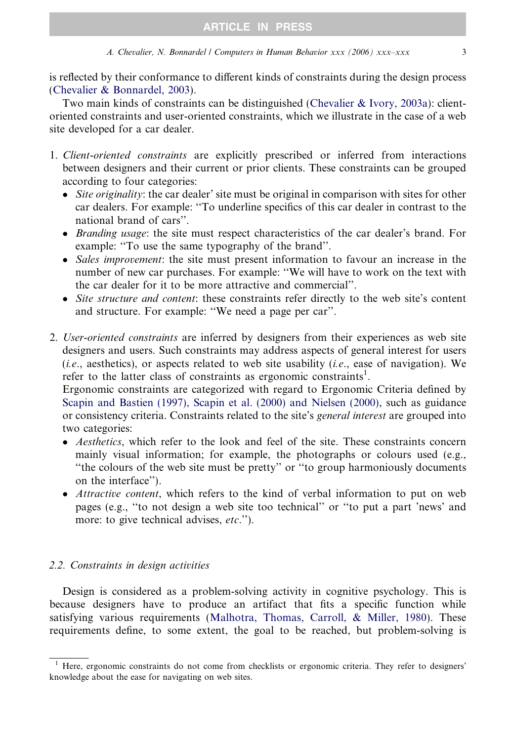is reflected by their conformance to different kinds of constraints during the design process ([Chevalier & Bonnardel, 2003](#page-16-0)).

Two main kinds of constraints can be distinguished ([Chevalier & Ivory, 2003a\)](#page-16-0): clientoriented constraints and user-oriented constraints, which we illustrate in the case of a web site developed for a car dealer.

- 1. Client-oriented constraints are explicitly prescribed or inferred from interactions between designers and their current or prior clients. These constraints can be grouped according to four categories:
	- Site originality: the car dealer' site must be original in comparison with sites for other car dealers. For example: ''To underline specifics of this car dealer in contrast to the national brand of cars''.
	- *Branding usage*: the site must respect characteristics of the car dealer's brand. For example: ''To use the same typography of the brand''.
	- Sales improvement: the site must present information to favour an increase in the number of new car purchases. For example: ''We will have to work on the text with the car dealer for it to be more attractive and commercial''.
	- Site structure and content: these constraints refer directly to the web site's content and structure. For example: ''We need a page per car''.
- 2. User-oriented constraints are inferred by designers from their experiences as web site designers and users. Such constraints may address aspects of general interest for users (*i.e.*, aesthetics), or aspects related to web site usability (*i.e.*, ease of navigation). We refer to the latter class of constraints as ergonomic constraints<sup>1</sup>.

Ergonomic constraints are categorized with regard to Ergonomic Criteria defined by [Scapin and Bastien \(1997\), Scapin et al. \(2000\) and Nielsen \(2000\),](#page-17-0) such as guidance or consistency criteria. Constraints related to the site's general interest are grouped into two categories:

- Aesthetics, which refer to the look and feel of the site. These constraints concern mainly visual information; for example, the photographs or colours used (e.g., ''the colours of the web site must be pretty'' or ''to group harmoniously documents on the interface'').
- *Attractive content*, which refers to the kind of verbal information to put on web pages (e.g., ''to not design a web site too technical'' or ''to put a part 'news' and more: to give technical advises, etc.").

# 2.2. Constraints in design activities

Design is considered as a problem-solving activity in cognitive psychology. This is because designers have to produce an artifact that fits a specific function while satisfying various requirements ([Malhotra, Thomas, Carroll, & Miller, 1980\)](#page-16-0). These requirements define, to some extent, the goal to be reached, but problem-solving is

<sup>&</sup>lt;sup>1</sup> Here, ergonomic constraints do not come from checklists or ergonomic criteria. They refer to designers' knowledge about the ease for navigating on web sites.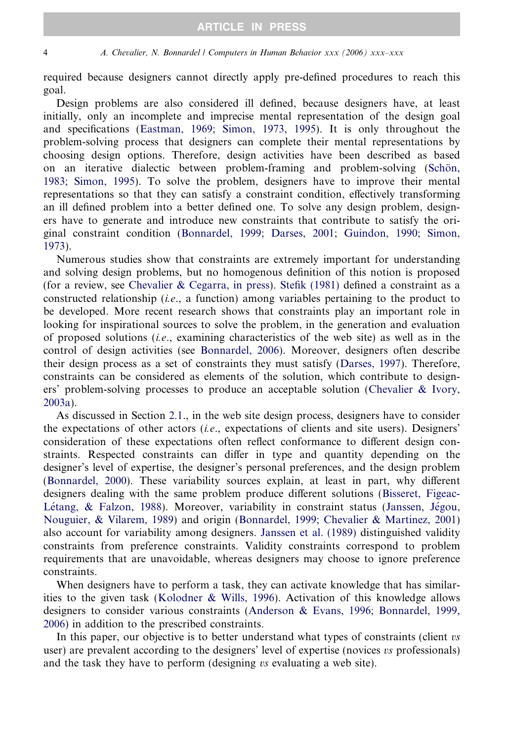required because designers cannot directly apply pre-defined procedures to reach this goal.

Design problems are also considered ill defined, because designers have, at least initially, only an incomplete and imprecise mental representation of the design goal and specifications ([Eastman, 1969; Simon, 1973, 1995\)](#page-16-0). It is only throughout the problem-solving process that designers can complete their mental representations by choosing design options. Therefore, design activities have been described as based on an iterative dialectic between problem-framing and problem-solving (Schön, [1983; Simon, 1995\)](#page-17-0). To solve the problem, designers have to improve their mental representations so that they can satisfy a constraint condition, effectively transforming an ill defined problem into a better defined one. To solve any design problem, designers have to generate and introduce new constraints that contribute to satisfy the original constraint condition [\(Bonnardel, 1999; Darses, 2001; Guindon, 1990; Simon,](#page-15-0) [1973\)](#page-15-0).

Numerous studies show that constraints are extremely important for understanding and solving design problems, but no homogenous definition of this notion is proposed (for a review, see [Chevalier & Cegarra, in press](#page-16-0)). [Stefik \(1981\)](#page-17-0) defined a constraint as a constructed relationship (*i.e.*, a function) among variables pertaining to the product to be developed. More recent research shows that constraints play an important role in looking for inspirational sources to solve the problem, in the generation and evaluation of proposed solutions (i.e., examining characteristics of the web site) as well as in the control of design activities (see [Bonnardel, 2006](#page-15-0)). Moreover, designers often describe their design process as a set of constraints they must satisfy [\(Darses, 1997\)](#page-16-0). Therefore, constraints can be considered as elements of the solution, which contribute to designers' problem-solving processes to produce an acceptable solution [\(Chevalier & Ivory,](#page-16-0) [2003a\)](#page-16-0).

As discussed in Section [2.1.](#page-1-0), in the web site design process, designers have to consider the expectations of other actors (i.e., expectations of clients and site users). Designers' consideration of these expectations often reflect conformance to different design constraints. Respected constraints can differ in type and quantity depending on the designer's level of expertise, the designer's personal preferences, and the design problem [\(Bonnardel, 2000](#page-15-0)). These variability sources explain, at least in part, why different designers dealing with the same problem produce different solutions ([Bisseret, Figeac-](#page-15-0)Létang,  $\&$  Falzon, 1988). Moreover, variability in constraint status (Janssen, Jégou, [Nouguier, & Vilarem, 1989](#page-16-0)) and origin [\(Bonnardel, 1999; Chevalier & Martinez, 2001](#page-15-0)) also account for variability among designers. [Janssen et al. \(1989\)](#page-16-0) distinguished validity constraints from preference constraints. Validity constraints correspond to problem requirements that are unavoidable, whereas designers may choose to ignore preference constraints.

When designers have to perform a task, they can activate knowledge that has similarities to the given task ([Kolodner & Wills, 1996\)](#page-16-0). Activation of this knowledge allows designers to consider various constraints [\(Anderson & Evans, 1996; Bonnardel, 1999,](#page-15-0) [2006\)](#page-15-0) in addition to the prescribed constraints.

In this paper, our objective is to better understand what types of constraints (client vs user) are prevalent according to the designers' level of expertise (novices vs professionals) and the task they have to perform (designing vs evaluating a web site).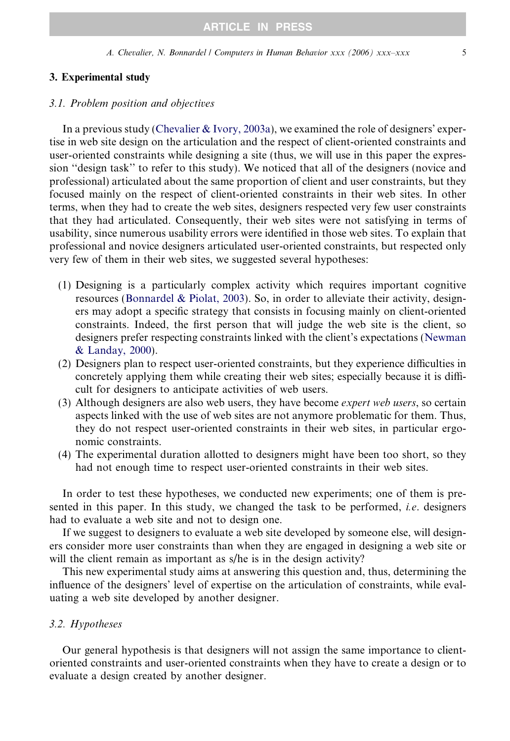#### <span id="page-4-0"></span>3. Experimental study

#### 3.1. Problem position and objectives

In a previous study ([Chevalier & Ivory, 2003a](#page-16-0)), we examined the role of designers' expertise in web site design on the articulation and the respect of client-oriented constraints and user-oriented constraints while designing a site (thus, we will use in this paper the expression ''design task'' to refer to this study). We noticed that all of the designers (novice and professional) articulated about the same proportion of client and user constraints, but they focused mainly on the respect of client-oriented constraints in their web sites. In other terms, when they had to create the web sites, designers respected very few user constraints that they had articulated. Consequently, their web sites were not satisfying in terms of usability, since numerous usability errors were identified in those web sites. To explain that professional and novice designers articulated user-oriented constraints, but respected only very few of them in their web sites, we suggested several hypotheses:

- (1) Designing is a particularly complex activity which requires important cognitive resources [\(Bonnardel & Piolat, 2003\)](#page-15-0). So, in order to alleviate their activity, designers may adopt a specific strategy that consists in focusing mainly on client-oriented constraints. Indeed, the first person that will judge the web site is the client, so designers prefer respecting constraints linked with the client's expectations [\(Newman](#page-16-0) [& Landay, 2000\)](#page-16-0).
- (2) Designers plan to respect user-oriented constraints, but they experience difficulties in concretely applying them while creating their web sites; especially because it is difficult for designers to anticipate activities of web users.
- (3) Although designers are also web users, they have become *expert web users*, so certain aspects linked with the use of web sites are not anymore problematic for them. Thus, they do not respect user-oriented constraints in their web sites, in particular ergonomic constraints.
- (4) The experimental duration allotted to designers might have been too short, so they had not enough time to respect user-oriented constraints in their web sites.

In order to test these hypotheses, we conducted new experiments; one of them is presented in this paper. In this study, we changed the task to be performed, *i.e.* designers had to evaluate a web site and not to design one.

If we suggest to designers to evaluate a web site developed by someone else, will designers consider more user constraints than when they are engaged in designing a web site or will the client remain as important as  $s/h$ e is in the design activity?

This new experimental study aims at answering this question and, thus, determining the influence of the designers' level of expertise on the articulation of constraints, while evaluating a web site developed by another designer.

#### 3.2. Hypotheses

Our general hypothesis is that designers will not assign the same importance to clientoriented constraints and user-oriented constraints when they have to create a design or to evaluate a design created by another designer.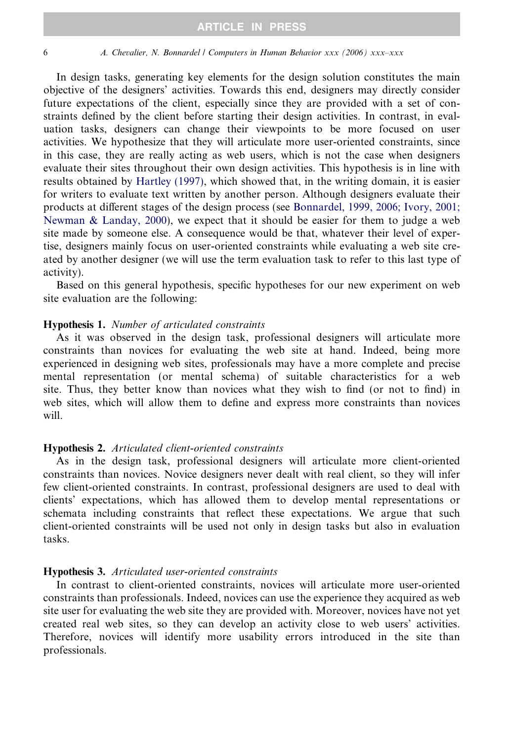# ARTICLE IN PRESS

#### 6 A. Chevalier, N. Bonnardel / Computers in Human Behavior xxx (2006) xxx–xxx

In design tasks, generating key elements for the design solution constitutes the main objective of the designers' activities. Towards this end, designers may directly consider future expectations of the client, especially since they are provided with a set of constraints defined by the client before starting their design activities. In contrast, in evaluation tasks, designers can change their viewpoints to be more focused on user activities. We hypothesize that they will articulate more user-oriented constraints, since in this case, they are really acting as web users, which is not the case when designers evaluate their sites throughout their own design activities. This hypothesis is in line with results obtained by [Hartley \(1997\)](#page-16-0), which showed that, in the writing domain, it is easier for writers to evaluate text written by another person. Although designers evaluate their products at different stages of the design process (see [Bonnardel, 1999, 2006; Ivory, 2001;](#page-15-0) [Newman & Landay, 2000](#page-15-0)), we expect that it should be easier for them to judge a web site made by someone else. A consequence would be that, whatever their level of expertise, designers mainly focus on user-oriented constraints while evaluating a web site created by another designer (we will use the term evaluation task to refer to this last type of activity).

Based on this general hypothesis, specific hypotheses for our new experiment on web site evaluation are the following:

## Hypothesis 1. Number of articulated constraints

As it was observed in the design task, professional designers will articulate more constraints than novices for evaluating the web site at hand. Indeed, being more experienced in designing web sites, professionals may have a more complete and precise mental representation (or mental schema) of suitable characteristics for a web site. Thus, they better know than novices what they wish to find (or not to find) in web sites, which will allow them to define and express more constraints than novices will.

# Hypothesis 2. Articulated client-oriented constraints

As in the design task, professional designers will articulate more client-oriented constraints than novices. Novice designers never dealt with real client, so they will infer few client-oriented constraints. In contrast, professional designers are used to deal with clients' expectations, which has allowed them to develop mental representations or schemata including constraints that reflect these expectations. We argue that such client-oriented constraints will be used not only in design tasks but also in evaluation tasks.

#### Hypothesis 3. Articulated user-oriented constraints

In contrast to client-oriented constraints, novices will articulate more user-oriented constraints than professionals. Indeed, novices can use the experience they acquired as web site user for evaluating the web site they are provided with. Moreover, novices have not yet created real web sites, so they can develop an activity close to web users' activities. Therefore, novices will identify more usability errors introduced in the site than professionals.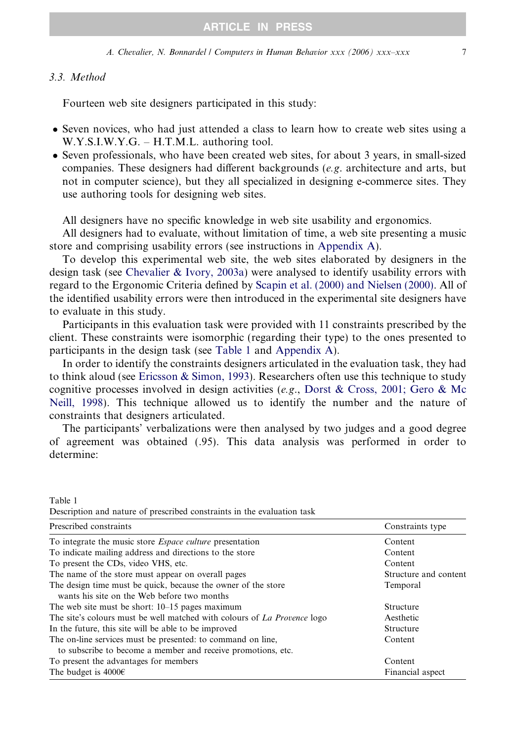#### <span id="page-6-0"></span>3.3. Method

Fourteen web site designers participated in this study:

- Seven novices, who had just attended a class to learn how to create web sites using a W.Y.S.I.W.Y.G. – H.T.M.L. authoring tool.
- Seven professionals, who have been created web sites, for about 3 years, in small-sized companies. These designers had different backgrounds (e.g. architecture and arts, but not in computer science), but they all specialized in designing e-commerce sites. They use authoring tools for designing web sites.

All designers have no specific knowledge in web site usability and ergonomics.

All designers had to evaluate, without limitation of time, a web site presenting a music store and comprising usability errors (see instructions in Appendix A).

To develop this experimental web site, the web sites elaborated by designers in the design task (see [Chevalier & Ivory, 2003a](#page-16-0)) were analysed to identify usability errors with regard to the Ergonomic Criteria defined by [Scapin et al. \(2000\) and Nielsen \(2000\)](#page-17-0). All of the identified usability errors were then introduced in the experimental site designers have to evaluate in this study.

Participants in this evaluation task were provided with 11 constraints prescribed by the client. These constraints were isomorphic (regarding their type) to the ones presented to participants in the design task (see Table 1 and Appendix A).

In order to identify the constraints designers articulated in the evaluation task, they had to think aloud (see [Ericsson & Simon, 1993\)](#page-16-0). Researchers often use this technique to study cognitive processes involved in design activities (e.g., [Dorst & Cross, 2001; Gero & Mc](#page-16-0) [Neill, 1998\)](#page-16-0). This technique allowed us to identify the number and the nature of constraints that designers articulated.

The participants' verbalizations were then analysed by two judges and a good degree of agreement was obtained (.95). This data analysis was performed in order to determine:

Table 1

Description and nature of prescribed constraints in the evaluation task

| Prescribed constraints                                                                                                      | Constraints type      |
|-----------------------------------------------------------------------------------------------------------------------------|-----------------------|
| To integrate the music store <i>Espace culture</i> presentation                                                             | Content               |
| To indicate mailing address and directions to the store                                                                     | Content               |
| To present the CDs, video VHS, etc.                                                                                         | Content               |
| The name of the store must appear on overall pages                                                                          | Structure and content |
| The design time must be quick, because the owner of the store<br>wants his site on the Web before two months                | Temporal              |
| The web site must be short: $10-15$ pages maximum                                                                           | Structure             |
| The site's colours must be well matched with colours of La Provence logo                                                    | Aesthetic             |
| In the future, this site will be able to be improved                                                                        | Structure             |
| The on-line services must be presented: to command on line,<br>to subscribe to become a member and receive promotions, etc. | Content               |
| To present the advantages for members                                                                                       | Content               |
| The budget is $4000 \in$                                                                                                    | Financial aspect      |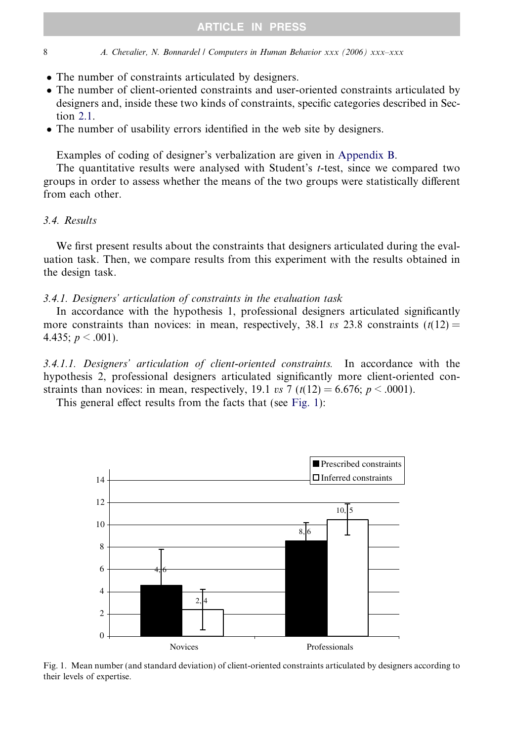- The number of constraints articulated by designers.
- The number of client-oriented constraints and user-oriented constraints articulated by designers and, inside these two kinds of constraints, specific categories described in Section [2.1.](#page-1-0)
- The number of usability errors identified in the web site by designers.

Examples of coding of designer's verbalization are given in [Appendix B](#page-15-0).

The quantitative results were analysed with Student's t-test, since we compared two groups in order to assess whether the means of the two groups were statistically different from each other.

# 3.4. Results

We first present results about the constraints that designers articulated during the evaluation task. Then, we compare results from this experiment with the results obtained in the design task.

# 3.4.1. Designers' articulation of constraints in the evaluation task

In accordance with the hypothesis 1, professional designers articulated significantly more constraints than novices: in mean, respectively, 38.1 vs 23.8 constraints  $(t(12) =$ 4.435;  $p < .001$ ).

3.4.1.1. Designers' articulation of client-oriented constraints. In accordance with the hypothesis 2, professional designers articulated significantly more client-oriented constraints than novices: in mean, respectively, 19.1 vs 7 (t(12) = 6.676;  $p < .0001$ ).

This general effect results from the facts that (see Fig. 1):



Fig. 1. Mean number (and standard deviation) of client-oriented constraints articulated by designers according to their levels of expertise.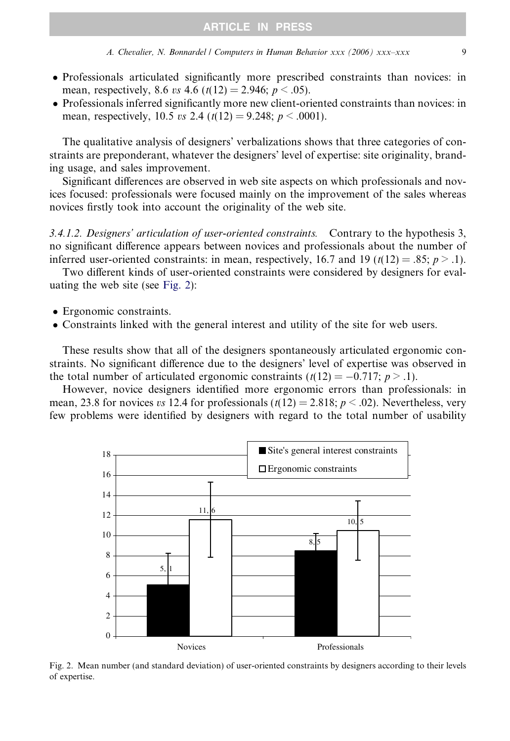- 
- <span id="page-8-0"></span>- Professionals articulated significantly more prescribed constraints than novices: in mean, respectively, 8.6 vs 4.6 (t(12) = 2.946;  $p < .05$ ).
- Professionals inferred significantly more new client-oriented constraints than novices: in mean, respectively, 10.5 vs 2.4 ( $t(12) = 9.248$ ;  $p \le 0.0001$ ).

The qualitative analysis of designers' verbalizations shows that three categories of constraints are preponderant, whatever the designers' level of expertise: site originality, branding usage, and sales improvement.

Significant differences are observed in web site aspects on which professionals and novices focused: professionals were focused mainly on the improvement of the sales whereas novices firstly took into account the originality of the web site.

3.4.1.2. Designers' articulation of user-oriented constraints. Contrary to the hypothesis 3, no significant difference appears between novices and professionals about the number of inferred user-oriented constraints: in mean, respectively, 16.7 and 19 ( $t(12) = .85$ ;  $p > .1$ ).

Two different kinds of user-oriented constraints were considered by designers for evaluating the web site (see Fig. 2):

- Ergonomic constraints.
- Constraints linked with the general interest and utility of the site for web users.

These results show that all of the designers spontaneously articulated ergonomic constraints. No significant difference due to the designers' level of expertise was observed in the total number of articulated ergonomic constraints  $(t(12) = -0.717; p > 0.1)$ .

However, novice designers identified more ergonomic errors than professionals: in mean, 23.8 for novices vs 12.4 for professionals  $(t(12) = 2.818; p < .02)$ . Nevertheless, very few problems were identified by designers with regard to the total number of usability



Fig. 2. Mean number (and standard deviation) of user-oriented constraints by designers according to their levels of expertise.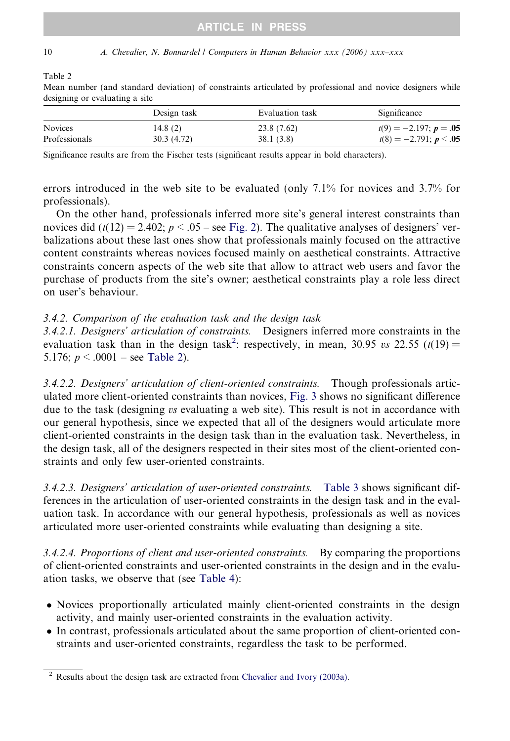#### Table 2

Mean number (and standard deviation) of constraints articulated by professional and novice designers while designing or evaluating a site

|                | Design task | Evaluation task | Significance                |
|----------------|-------------|-----------------|-----------------------------|
| <b>Novices</b> | 14.8 $(2)$  | 23.8 (7.62)     | $t(9) = -2.197$ ; $p = .05$ |
| Professionals  | 30.3(4.72)  | 38.1(3.8)       | $t(8) = -2.791$ ; $p < .05$ |

Significance results are from the Fischer tests (significant results appear in bold characters).

errors introduced in the web site to be evaluated (only 7.1% for novices and 3.7% for professionals).

On the other hand, professionals inferred more site's general interest constraints than novices did ( $t(12) = 2.402$ ;  $p < .05$  – see [Fig. 2](#page-8-0)). The qualitative analyses of designers' verbalizations about these last ones show that professionals mainly focused on the attractive content constraints whereas novices focused mainly on aesthetical constraints. Attractive constraints concern aspects of the web site that allow to attract web users and favor the purchase of products from the site's owner; aesthetical constraints play a role less direct on user's behaviour.

# 3.4.2. Comparison of the evaluation task and the design task

3.4.2.1. Designers' articulation of constraints. Designers inferred more constraints in the evaluation task than in the design task<sup>2</sup>: respectively, in mean, 30.95 vs 22.55 ( $t(19)$  = 5.176;  $p < .0001$  – see Table 2).

3.4.2.2. Designers' articulation of client-oriented constraints. Though professionals articulated more client-oriented constraints than novices, [Fig. 3](#page-10-0) shows no significant difference due to the task (designing vs evaluating a web site). This result is not in accordance with our general hypothesis, since we expected that all of the designers would articulate more client-oriented constraints in the design task than in the evaluation task. Nevertheless, in the design task, all of the designers respected in their sites most of the client-oriented constraints and only few user-oriented constraints.

3.4.2.3. Designers' articulation of user-oriented constraints. [Table 3](#page-10-0) shows significant differences in the articulation of user-oriented constraints in the design task and in the evaluation task. In accordance with our general hypothesis, professionals as well as novices articulated more user-oriented constraints while evaluating than designing a site.

3.4.2.4. Proportions of client and user-oriented constraints. By comparing the proportions of client-oriented constraints and user-oriented constraints in the design and in the evaluation tasks, we observe that (see [Table 4\)](#page-10-0):

- Novices proportionally articulated mainly client-oriented constraints in the design activity, and mainly user-oriented constraints in the evaluation activity.
- In contrast, professionals articulated about the same proportion of client-oriented constraints and user-oriented constraints, regardless the task to be performed.

<sup>2</sup> Results about the design task are extracted from [Chevalier and Ivory \(2003a\).](#page-16-0)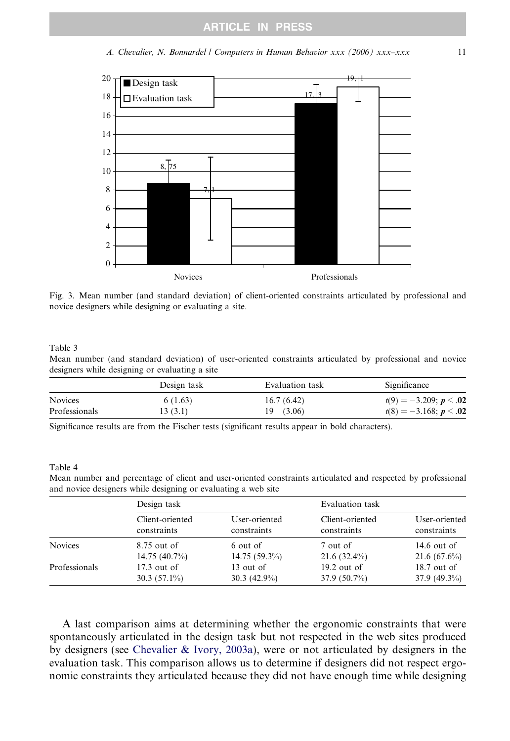<span id="page-10-0"></span>

Fig. 3. Mean number (and standard deviation) of client-oriented constraints articulated by professional and novice designers while designing or evaluating a site.

Table 3

Mean number (and standard deviation) of user-oriented constraints articulated by professional and novice designers while designing or evaluating a site

|                | Design task | Evaluation task | Significance                |
|----------------|-------------|-----------------|-----------------------------|
| <b>Novices</b> | 6(1.63)     | 16.7(6.42)      | $t(9) = -3.209$ ; $p < .02$ |
| Professionals  | 13(3.1)     | 19 (3.06)       | $t(8) = -3.168$ ; $p < .02$ |

Significance results are from the Fischer tests (significant results appear in bold characters).

#### Table 4

Mean number and percentage of client and user-oriented constraints articulated and respected by professional and novice designers while designing or evaluating a web site

|                | Design task      |                 | Evaluation task |                |
|----------------|------------------|-----------------|-----------------|----------------|
|                | Client-oriented  | User-oriented   | Client-oriented | User-oriented  |
|                | constraints      | constraints     | constraints     | constraints    |
| <b>Novices</b> | 8.75 out of      | 6 out of        | 7 out of        | 14.6 out of    |
|                | 14.75 $(40.7\%)$ | $14.75(59.3\%)$ | $21.6(32.4\%)$  | $21.6(67.6\%)$ |
| Professionals  | $17.3$ out of    | 13 out of       | $19.2$ out of   | $18.7$ out of  |
|                | $30.3(57.1\%)$   | $30.3(42.9\%)$  | $37.9(50.7\%)$  | $37.9(49.3\%)$ |

A last comparison aims at determining whether the ergonomic constraints that were spontaneously articulated in the design task but not respected in the web sites produced by designers (see [Chevalier & Ivory, 2003a](#page-16-0)), were or not articulated by designers in the evaluation task. This comparison allows us to determine if designers did not respect ergonomic constraints they articulated because they did not have enough time while designing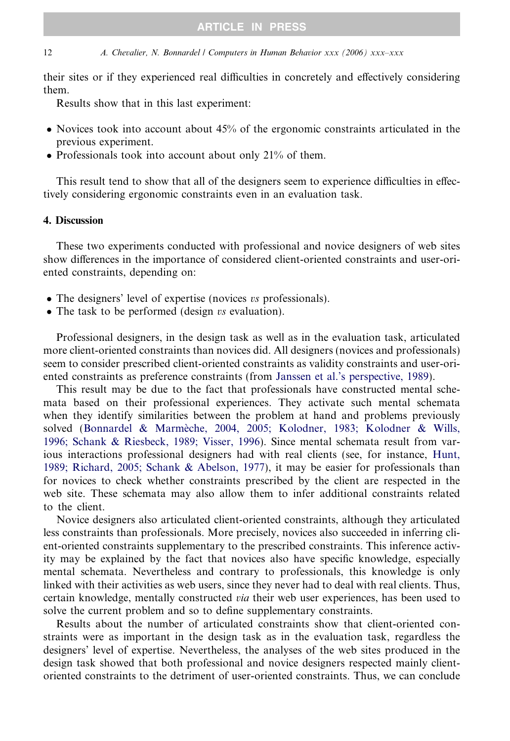their sites or if they experienced real difficulties in concretely and effectively considering them.

Results show that in this last experiment:

- Novices took into account about 45% of the ergonomic constraints articulated in the previous experiment.
- Professionals took into account about only 21% of them.

This result tend to show that all of the designers seem to experience difficulties in effectively considering ergonomic constraints even in an evaluation task.

# 4. Discussion

These two experiments conducted with professional and novice designers of web sites show differences in the importance of considered client-oriented constraints and user-oriented constraints, depending on:

- The designers' level of expertise (novices vs professionals).
- $\bullet$  The task to be performed (design vs evaluation).

Professional designers, in the design task as well as in the evaluation task, articulated more client-oriented constraints than novices did. All designers (novices and professionals) seem to consider prescribed client-oriented constraints as validity constraints and user-oriented constraints as preference constraints (from [Janssen et al.'s perspective, 1989\)](#page-16-0).

This result may be due to the fact that professionals have constructed mental schemata based on their professional experiences. They activate such mental schemata when they identify similarities between the problem at hand and problems previously solved (Bonnardel & Marmèche, 2004, 2005; Kolodner, 1983; Kolodner & Wills, [1996; Schank & Riesbeck, 1989; Visser, 1996\)](#page-15-0). Since mental schemata result from various interactions professional designers had with real clients (see, for instance, [Hunt,](#page-16-0) [1989; Richard, 2005; Schank & Abelson, 1977\)](#page-16-0), it may be easier for professionals than for novices to check whether constraints prescribed by the client are respected in the web site. These schemata may also allow them to infer additional constraints related to the client.

Novice designers also articulated client-oriented constraints, although they articulated less constraints than professionals. More precisely, novices also succeeded in inferring client-oriented constraints supplementary to the prescribed constraints. This inference activity may be explained by the fact that novices also have specific knowledge, especially mental schemata. Nevertheless and contrary to professionals, this knowledge is only linked with their activities as web users, since they never had to deal with real clients. Thus, certain knowledge, mentally constructed via their web user experiences, has been used to solve the current problem and so to define supplementary constraints.

Results about the number of articulated constraints show that client-oriented constraints were as important in the design task as in the evaluation task, regardless the designers' level of expertise. Nevertheless, the analyses of the web sites produced in the design task showed that both professional and novice designers respected mainly clientoriented constraints to the detriment of user-oriented constraints. Thus, we can conclude

<span id="page-11-0"></span>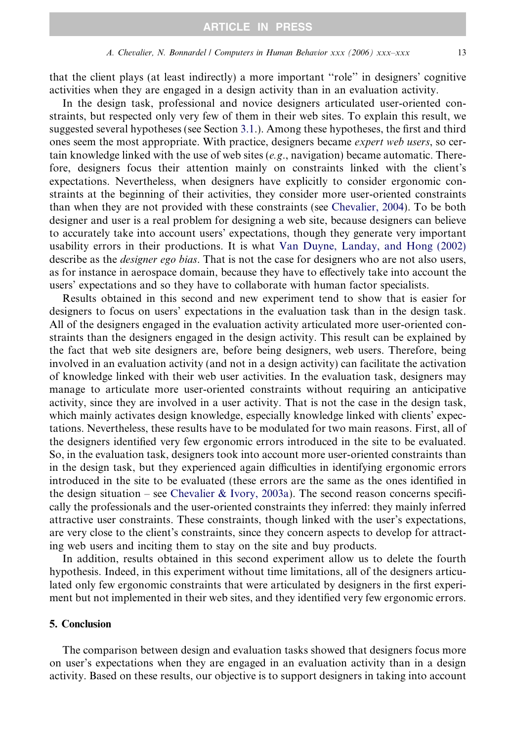<span id="page-12-0"></span>that the client plays (at least indirectly) a more important ''role'' in designers' cognitive activities when they are engaged in a design activity than in an evaluation activity.

In the design task, professional and novice designers articulated user-oriented constraints, but respected only very few of them in their web sites. To explain this result, we suggested several hypotheses (see Section [3.1.](#page-4-0)). Among these hypotheses, the first and third ones seem the most appropriate. With practice, designers became expert web users, so certain knowledge linked with the use of web sites  $(e.g.,$  navigation) became automatic. Therefore, designers focus their attention mainly on constraints linked with the client's expectations. Nevertheless, when designers have explicitly to consider ergonomic constraints at the beginning of their activities, they consider more user-oriented constraints than when they are not provided with these constraints (see [Chevalier, 2004\)](#page-15-0). To be both designer and user is a real problem for designing a web site, because designers can believe to accurately take into account users' expectations, though they generate very important usability errors in their productions. It is what [Van Duyne, Landay, and Hong \(2002\)](#page-17-0) describe as the *designer ego bias*. That is not the case for designers who are not also users, as for instance in aerospace domain, because they have to effectively take into account the users' expectations and so they have to collaborate with human factor specialists.

Results obtained in this second and new experiment tend to show that is easier for designers to focus on users' expectations in the evaluation task than in the design task. All of the designers engaged in the evaluation activity articulated more user-oriented constraints than the designers engaged in the design activity. This result can be explained by the fact that web site designers are, before being designers, web users. Therefore, being involved in an evaluation activity (and not in a design activity) can facilitate the activation of knowledge linked with their web user activities. In the evaluation task, designers may manage to articulate more user-oriented constraints without requiring an anticipative activity, since they are involved in a user activity. That is not the case in the design task, which mainly activates design knowledge, especially knowledge linked with clients' expectations. Nevertheless, these results have to be modulated for two main reasons. First, all of the designers identified very few ergonomic errors introduced in the site to be evaluated. So, in the evaluation task, designers took into account more user-oriented constraints than in the design task, but they experienced again difficulties in identifying ergonomic errors introduced in the site to be evaluated (these errors are the same as the ones identified in the design situation – see [Chevalier & Ivory, 2003a](#page-16-0)). The second reason concerns specifically the professionals and the user-oriented constraints they inferred: they mainly inferred attractive user constraints. These constraints, though linked with the user's expectations, are very close to the client's constraints, since they concern aspects to develop for attracting web users and inciting them to stay on the site and buy products.

In addition, results obtained in this second experiment allow us to delete the fourth hypothesis. Indeed, in this experiment without time limitations, all of the designers articulated only few ergonomic constraints that were articulated by designers in the first experiment but not implemented in their web sites, and they identified very few ergonomic errors.

# 5. Conclusion

The comparison between design and evaluation tasks showed that designers focus more on user's expectations when they are engaged in an evaluation activity than in a design activity. Based on these results, our objective is to support designers in taking into account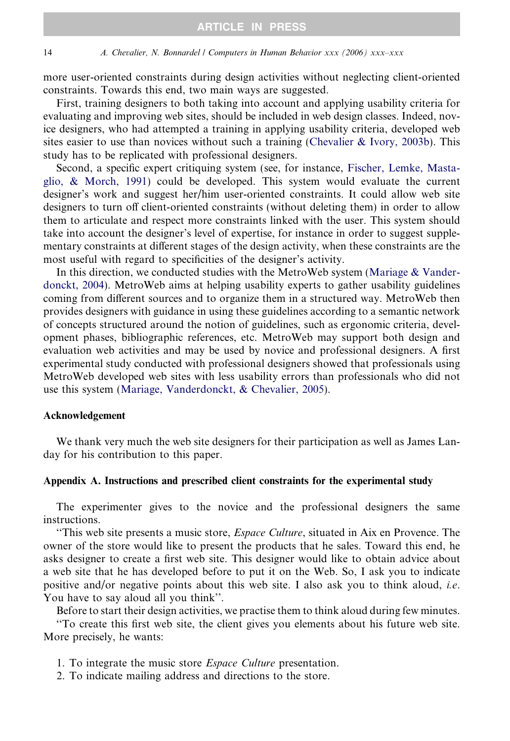more user-oriented constraints during design activities without neglecting client-oriented constraints. Towards this end, two main ways are suggested.

First, training designers to both taking into account and applying usability criteria for evaluating and improving web sites, should be included in web design classes. Indeed, novice designers, who had attempted a training in applying usability criteria, developed web sites easier to use than novices without such a training [\(Chevalier & Ivory, 2003b](#page-16-0)). This study has to be replicated with professional designers.

Second, a specific expert critiquing system (see, for instance, [Fischer, Lemke, Masta](#page-16-0)[glio, & Morch, 1991](#page-16-0)) could be developed. This system would evaluate the current designer's work and suggest her/him user-oriented constraints. It could allow web site designers to turn off client-oriented constraints (without deleting them) in order to allow them to articulate and respect more constraints linked with the user. This system should take into account the designer's level of expertise, for instance in order to suggest supplementary constraints at different stages of the design activity, when these constraints are the most useful with regard to specificities of the designer's activity.

In this direction, we conducted studies with the MetroWeb system ([Mariage & Vander](#page-16-0)[donckt, 2004\)](#page-16-0). MetroWeb aims at helping usability experts to gather usability guidelines coming from different sources and to organize them in a structured way. MetroWeb then provides designers with guidance in using these guidelines according to a semantic network of concepts structured around the notion of guidelines, such as ergonomic criteria, development phases, bibliographic references, etc. MetroWeb may support both design and evaluation web activities and may be used by novice and professional designers. A first experimental study conducted with professional designers showed that professionals using MetroWeb developed web sites with less usability errors than professionals who did not use this system ([Mariage, Vanderdonckt, & Chevalier, 2005](#page-16-0)).

# Acknowledgement

We thank very much the web site designers for their participation as well as James Landay for his contribution to this paper.

# Appendix A. Instructions and prescribed client constraints for the experimental study

The experimenter gives to the novice and the professional designers the same instructions.

''This web site presents a music store, Espace Culture, situated in Aix en Provence. The owner of the store would like to present the products that he sales. Toward this end, he asks designer to create a first web site. This designer would like to obtain advice about a web site that he has developed before to put it on the Web. So, I ask you to indicate positive and/or negative points about this web site. I also ask you to think aloud, i.e. You have to say aloud all you think''.

Before to start their design activities, we practise them to think aloud during few minutes.

''To create this first web site, the client gives you elements about his future web site. More precisely, he wants:

- 1. To integrate the music store Espace Culture presentation.
- 2. To indicate mailing address and directions to the store.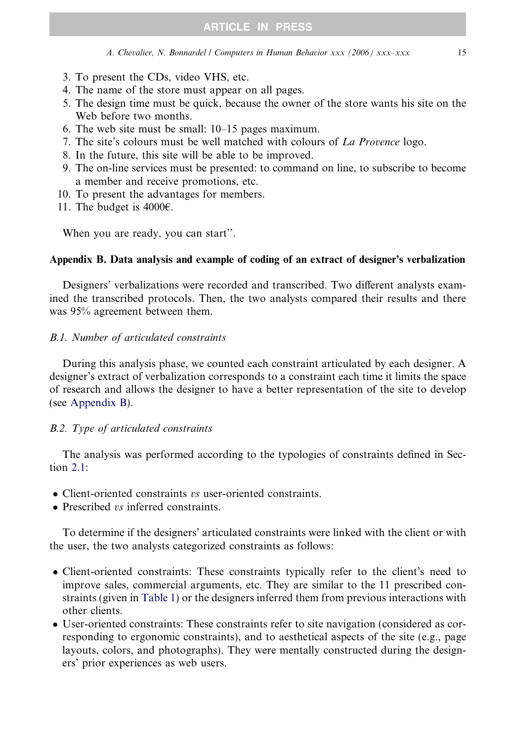- 3. To present the CDs, video VHS, etc.
- 4. The name of the store must appear on all pages.
- 5. The design time must be quick, because the owner of the store wants his site on the Web before two months.
- 6. The web site must be small: 10–15 pages maximum.
- 7. The site's colours must be well matched with colours of La Provence logo.
- 8. In the future, this site will be able to be improved.
- 9. The on-line services must be presented: to command on line, to subscribe to become a member and receive promotions, etc.
- 10. To present the advantages for members.
- 11. The budget is 4000€.

When you are ready, you can start''.

# Appendix B. Data analysis and example of coding of an extract of designer's verbalization

Designers' verbalizations were recorded and transcribed. Two different analysts examined the transcribed protocols. Then, the two analysts compared their results and there was 95% agreement between them.

# B.1. Number of articulated constraints

During this analysis phase, we counted each constraint articulated by each designer. A designer's extract of verbalization corresponds to a constraint each time it limits the space of research and allows the designer to have a better representation of the site to develop (see [Appendix B](#page-15-0)).

# B.2. Type of articulated constraints

The analysis was performed according to the typologies of constraints defined in Section  $2.1$ 

- Client-oriented constraints vs user-oriented constraints.
- Prescribed vs inferred constraints.

To determine if the designers' articulated constraints were linked with the client or with the user, the two analysts categorized constraints as follows:

- Client-oriented constraints: These constraints typically refer to the client's need to improve sales, commercial arguments, etc. They are similar to the 11 prescribed constraints (given in [Table 1](#page-6-0)) or the designers inferred them from previous interactions with other clients.
- User-oriented constraints: These constraints refer to site navigation (considered as corresponding to ergonomic constraints), and to aesthetical aspects of the site (e.g., page layouts, colors, and photographs). They were mentally constructed during the designers' prior experiences as web users.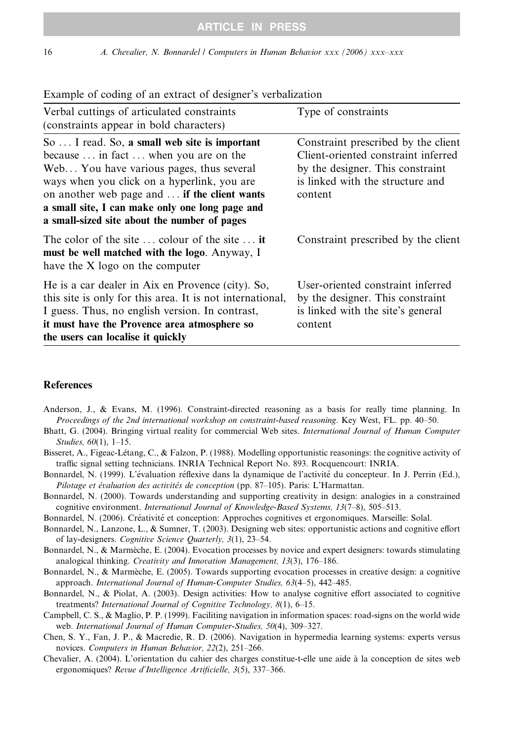| Verbal cuttings of articulated constraints<br>(constraints appear in bold characters)                                                                                                                                                                                                                                                | Type of constraints                                                                                                                                           |
|--------------------------------------------------------------------------------------------------------------------------------------------------------------------------------------------------------------------------------------------------------------------------------------------------------------------------------------|---------------------------------------------------------------------------------------------------------------------------------------------------------------|
| So  I read. So, a small web site is important<br>because  in fact  when you are on the<br>Web You have various pages, thus several<br>ways when you click on a hyperlink, you are<br>on another web page and  if the client wants<br>a small site, I can make only one long page and<br>a small-sized site about the number of pages | Constraint prescribed by the client<br>Client-oriented constraint inferred<br>by the designer. This constraint<br>is linked with the structure and<br>content |
| The color of the site $\ldots$ colour of the site $\ldots$ it<br>must be well matched with the logo. Anyway, I<br>have the X logo on the computer                                                                                                                                                                                    | Constraint prescribed by the client                                                                                                                           |
| He is a car dealer in Aix en Provence (city). So,<br>this site is only for this area. It is not international,<br>I guess. Thus, no english version. In contrast,<br>it must have the Provence area atmosphere so<br>the users can localise it quickly                                                                               | User-oriented constraint inferred<br>by the designer. This constraint<br>is linked with the site's general<br>content                                         |

## <span id="page-15-0"></span>Example of coding of an extract of designer's verbalization

# **References**

- Anderson, J., & Evans, M. (1996). Constraint-directed reasoning as a basis for really time planning. In Proceedings of the 2nd international workshop on constraint-based reasoning. Key West, FL. pp. 40–50.
- Bhatt, G. (2004). Bringing virtual reality for commercial Web sites. International Journal of Human Computer Studies, 60(1), 1-15.
- Bisseret, A., Figeac-Létang, C., & Falzon, P. (1988). Modelling opportunistic reasonings: the cognitive activity of traffic signal setting technicians. INRIA Technical Report No. 893. Rocquencourt: INRIA.
- Bonnardel, N. (1999). L'évaluation réflexive dans la dynamique de l'activité du concepteur. In J. Perrin (Ed.), Pilotage et évaluation des activités de conception (pp. 87-105). Paris: L'Harmattan.
- Bonnardel, N. (2000). Towards understanding and supporting creativity in design: analogies in a constrained cognitive environment. International Journal of Knowledge-Based Systems, 13(7–8), 505–513.
- Bonnardel, N. (2006). Créativité et conception: Approches cognitives et ergonomiques. Marseille: Solal.
- Bonnardel, N., Lanzone, L., & Sumner, T. (2003). Designing web sites: opportunistic actions and cognitive effort of lay-designers. Cognitive Science Quarterly, 3(1), 23–54.
- Bonnardel, N., & Marmèche, E. (2004). Evocation processes by novice and expert designers: towards stimulating analogical thinking. Creativity and Innovation Management, 13(3), 176–186.
- Bonnardel, N., & Marmèche, E. (2005). Towards supporting evocation processes in creative design: a cognitive approach. International Journal of Human-Computer Studies, 63(4–5), 442–485.
- Bonnardel, N., & Piolat, A. (2003). Design activities: How to analyse cognitive effort associated to cognitive treatments? International Journal of Cognitive Technology, 8(1), 6–15.
- Campbell, C. S., & Maglio, P. P. (1999). Faciliting navigation in information spaces: road-signs on the world wide web. International Journal of Human Computer-Studies, 50(4), 309–327.
- Chen, S. Y., Fan, J. P., & Macredie, R. D. (2006). Navigation in hypermedia learning systems: experts versus novices. Computers in Human Behavior, 22(2), 251–266.
- Chevalier, A. (2004). L'orientation du cahier des charges constitue-t-elle une aide a` la conception de sites web ergonomiques? Revue d'Intelligence Artificielle, 3(5), 337–366.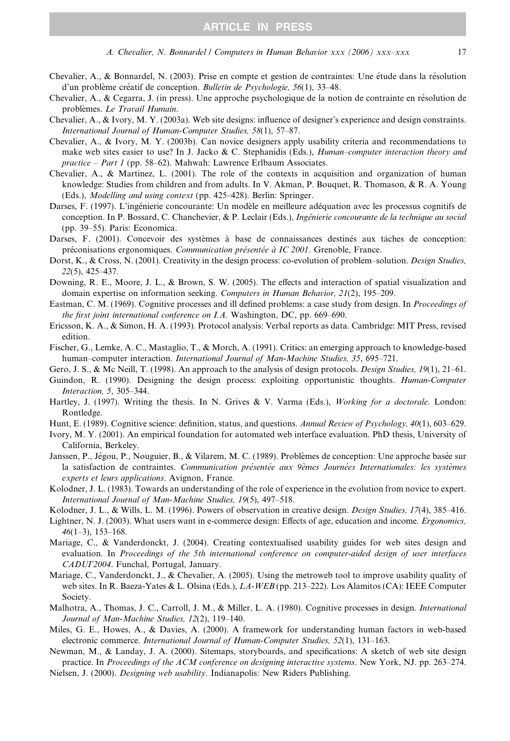- <span id="page-16-0"></span>Chevalier, A., & Bonnardel, N. (2003). Prise en compte et gestion de contraintes: Une étude dans la résolution d'un problème créatif de conception. Bulletin de Psychologie, 56(1), 33–48.
- Chevalier, A., & Cegarra, J. (in press). Une approche psychologique de la notion de contrainte en résolution de problèmes. Le Travail Humain.
- Chevalier, A., & Ivory, M. Y. (2003a). Web site designs: influence of designer's experience and design constraints. International Journal of Human-Computer Studies, 58(1), 57–87.
- Chevalier, A., & Ivory, M. Y. (2003b). Can novice designers apply usability criteria and recommendations to make web sites easier to use? In J. Jacko & C. Stephanidis (Eds.), Human–computer interaction theory and practice – Part 1 (pp. 58–62). Mahwah: Lawrence Erlbaum Associates.
- Chevalier, A., & Martinez, L. (2001). The role of the contexts in acquisition and organization of human knowledge: Studies from children and from adults. In V. Akman, P. Bouquet, R. Thomason, & R. A. Young (Eds.), Modelling and using context (pp. 425–428). Berlin: Springer.
- Darses, F. (1997). L'ingénierie concourante: Un modèle en meilleure adéquation avec les processus cognitifs de conception. In P. Bossard, C. Chanchevier, & P. Leclair (Eds.), Ingénierie concourante de la technique au social (pp. 39–55). Paris: Economica.
- Darses, F. (2001). Concevoir des systèmes à base de connaissances destinés aux tâches de conception: préconisations ergonomiques. Communication présentée à IC 2001. Grenoble, France.
- Dorst, K., & Cross, N. (2001). Creativity in the design process: co-evolution of problem–solution. Design Studies, 22(5), 425–437.
- Downing, R. E., Moore, J. L., & Brown, S. W. (2005). The effects and interaction of spatial visualization and domain expertise on information seeking. Computers in Human Behavior, 21(2), 195–209.
- Eastman, C. M. (1969). Cognitive processes and ill defined problems: a case study from design. In Proceedings of the first joint international conference on I.A. Washington, DC, pp. 669–690.
- Ericsson, K. A., & Simon, H. A. (1993). Protocol analysis: Verbal reports as data. Cambridge: MIT Press, revised edition.
- Fischer, G., Lemke, A. C., Mastaglio, T., & Morch, A. (1991). Critics: an emerging approach to knowledge-based human–computer interaction. International Journal of Man-Machine Studies, 35, 695–721.
- Gero, J. S., & Mc Neill, T. (1998). An approach to the analysis of design protocols. *Design Studies*, 19(1), 21–61.
- Guindon, R. (1990). Designing the design process: exploiting opportunistic thoughts. Human-Computer Interaction, 5, 305–344.
- Hartley, J. (1997). Writing the thesis. In N. Grives & V. Varma (Eds.), *Working for a doctorale*. London: Rontledge.
- Hunt, E. (1989). Cognitive science: definition, status, and questions. Annual Review of Psychology, 40(1), 603–629.
- Ivory, M. Y. (2001). An empirical foundation for automated web interface evaluation. PhD thesis, University of California, Berkeley.
- Janssen, P., Jégou, P., Nouguier, B., & Vilarem, M. C. (1989). Problèmes de conception: Une approche basée sur la satisfaction de contraintes. Communication présentée aux 9èmes Journées Internationales: les systèmes experts et leurs applications. Avignon, France.
- Kolodner, J. L. (1983). Towards an understanding of the role of experience in the evolution from novice to expert. International Journal of Man-Machine Studies, 19(5), 497–518.
- Kolodner, J. L., & Wills, L. M. (1996). Powers of observation in creative design. Design Studies, 17(4), 385–416.
- Lightner, N. J. (2003). What users want in e-commerce design: Effects of age, education and income. *Ergonomics*,  $46(1-3)$ , 153-168.
- Mariage, C., & Vanderdonckt, J. (2004). Creating contextualised usability guides for web sites design and evaluation. In Proceedings of the 5th international conference on computer-aided design of user interfaces CADUI'2004. Funchal, Portugal, January.
- Mariage, C., Vanderdonckt, J., & Chevalier, A. (2005). Using the metroweb tool to improve usability quality of web sites. In R. Baeza-Yates & L. Olsina (Eds.), LA-WEB (pp. 213–222). Los Alamitos (CA): IEEE Computer Society.
- Malhotra, A., Thomas, J. C., Carroll, J. M., & Miller, L. A. (1980). Cognitive processes in design. International Journal of Man-Machine Studies, 12(2), 119–140.
- Miles, G. E., Howes, A., & Davies, A. (2000). A framework for understanding human factors in web-based electronic commerce. International Journal of Human-Computer Studies, 52(1), 131–163.
- Newman, M., & Landay, J. A. (2000). Sitemaps, storyboards, and specifications: A sketch of web site design practice. In Proceedings of the ACM conference on designing interactive systems. New York, NJ. pp. 263-274. Nielsen, J. (2000). Designing web usability. Indianapolis: New Riders Publishing.